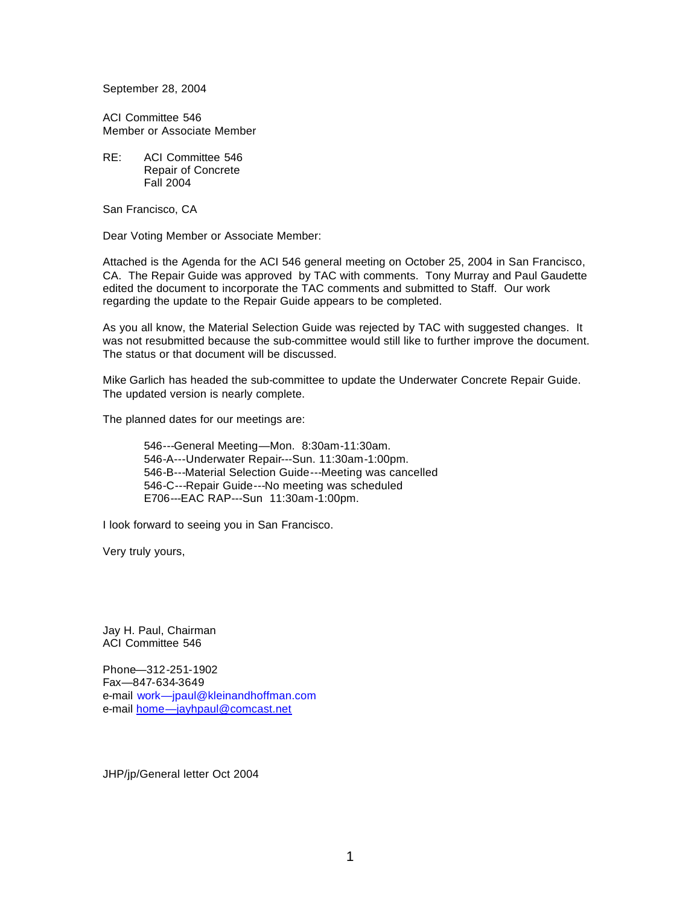September 28, 2004

ACI Committee 546 Member or Associate Member

RE: ACI Committee 546 Repair of Concrete Fall 2004

San Francisco, CA

Dear Voting Member or Associate Member:

Attached is the Agenda for the ACI 546 general meeting on October 25, 2004 in San Francisco, CA. The Repair Guide was approved by TAC with comments. Tony Murray and Paul Gaudette edited the document to incorporate the TAC comments and submitted to Staff. Our work regarding the update to the Repair Guide appears to be completed.

As you all know, the Material Selection Guide was rejected by TAC with suggested changes. It was not resubmitted because the sub-committee would still like to further improve the document. The status or that document will be discussed.

Mike Garlich has headed the sub-committee to update the Underwater Concrete Repair Guide. The updated version is nearly complete.

The planned dates for our meetings are:

546---General Meeting—Mon. 8:30am-11:30am. 546-A---Underwater Repair---Sun. 11:30am-1:00pm. 546-B---Material Selection Guide---Meeting was cancelled 546-C---Repair Guide---No meeting was scheduled E706---EAC RAP---Sun 11:30am-1:00pm.

I look forward to seeing you in San Francisco.

Very truly yours,

Jay H. Paul, Chairman ACI Committee 546

Phone—312-251-1902 Fax—847-634-3649 e-mail work—jpaul@kleinandhoffman.com e-mail home—jayhpaul@comcast.net

JHP/jp/General letter Oct 2004